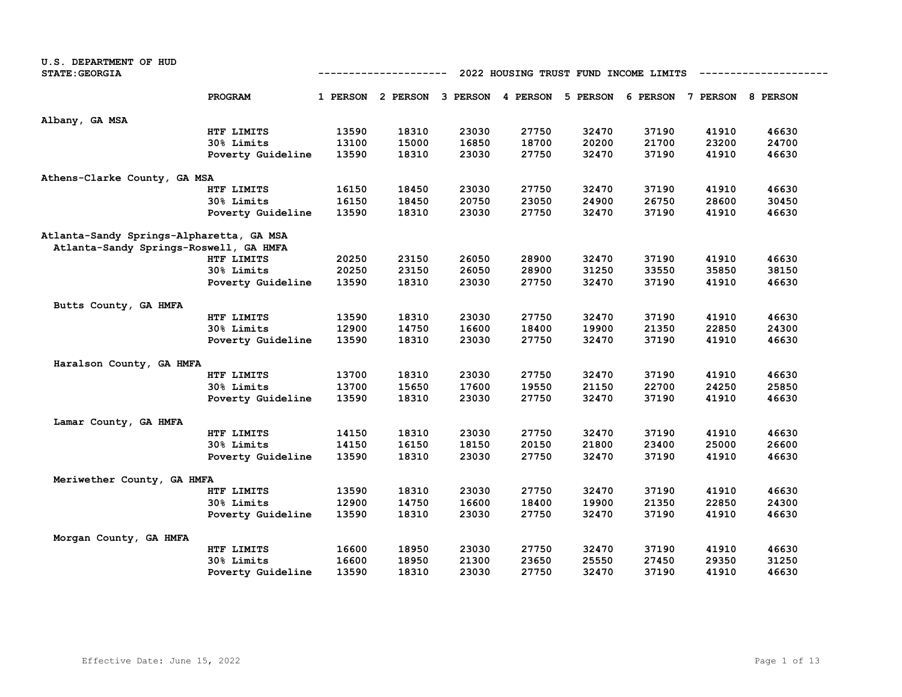| U.S. DEPARTMENT OF HUD                   |                   |                                                      |                                              |       |       |       |       |                            |       |  |  |
|------------------------------------------|-------------------|------------------------------------------------------|----------------------------------------------|-------|-------|-------|-------|----------------------------|-------|--|--|
| <b>STATE: GEORGIA</b>                    |                   | 2022 HOUSING TRUST FUND INCOME LIMITS<br>----------- |                                              |       |       |       |       |                            |       |  |  |
|                                          | PROGRAM           |                                                      | 1 PERSON 2 PERSON 3 PERSON 4 PERSON 5 PERSON |       |       |       |       | 6 PERSON 7 PERSON 8 PERSON |       |  |  |
| Albany, GA MSA                           |                   |                                                      |                                              |       |       |       |       |                            |       |  |  |
|                                          | HTF LIMITS        | 13590                                                | 18310                                        | 23030 | 27750 | 32470 | 37190 | 41910                      | 46630 |  |  |
|                                          | 30% Limits        | 13100                                                | 15000                                        | 16850 | 18700 | 20200 | 21700 | 23200                      | 24700 |  |  |
|                                          | Poverty Guideline | 13590                                                | 18310                                        | 23030 | 27750 | 32470 | 37190 | 41910                      | 46630 |  |  |
| Athens-Clarke County, GA MSA             |                   |                                                      |                                              |       |       |       |       |                            |       |  |  |
|                                          | HTF LIMITS        | 16150                                                | 18450                                        | 23030 | 27750 | 32470 | 37190 | 41910                      | 46630 |  |  |
|                                          | 30% Limits        | 16150                                                | 18450                                        | 20750 | 23050 | 24900 | 26750 | 28600                      | 30450 |  |  |
|                                          | Poverty Guideline | 13590                                                | 18310                                        | 23030 | 27750 | 32470 | 37190 | 41910                      | 46630 |  |  |
| Atlanta-Sandy Springs-Alpharetta, GA MSA |                   |                                                      |                                              |       |       |       |       |                            |       |  |  |
| Atlanta-Sandy Springs-Roswell, GA HMFA   |                   |                                                      |                                              |       |       |       |       |                            |       |  |  |
|                                          | HTF LIMITS        | 20250                                                | 23150                                        | 26050 | 28900 | 32470 | 37190 | 41910                      | 46630 |  |  |
|                                          | 30% Limits        | 20250                                                | 23150                                        | 26050 | 28900 | 31250 | 33550 | 35850                      | 38150 |  |  |
|                                          | Poverty Guideline | 13590                                                | 18310                                        | 23030 | 27750 | 32470 | 37190 | 41910                      | 46630 |  |  |
| Butts County, GA HMFA                    |                   |                                                      |                                              |       |       |       |       |                            |       |  |  |
|                                          | HTF LIMITS        | 13590                                                | 18310                                        | 23030 | 27750 | 32470 | 37190 | 41910                      | 46630 |  |  |
|                                          | 30% Limits        | 12900                                                | 14750                                        | 16600 | 18400 | 19900 | 21350 | 22850                      | 24300 |  |  |
|                                          | Poverty Guideline | 13590                                                | 18310                                        | 23030 | 27750 | 32470 | 37190 | 41910                      | 46630 |  |  |
| Haralson County, GA HMFA                 |                   |                                                      |                                              |       |       |       |       |                            |       |  |  |
|                                          | HTF LIMITS        | 13700                                                | 18310                                        | 23030 | 27750 | 32470 | 37190 | 41910                      | 46630 |  |  |
|                                          | 30% Limits        | 13700                                                | 15650                                        | 17600 | 19550 | 21150 | 22700 | 24250                      | 25850 |  |  |
|                                          | Poverty Guideline | 13590                                                | 18310                                        | 23030 | 27750 | 32470 | 37190 | 41910                      | 46630 |  |  |
| Lamar County, GA HMFA                    |                   |                                                      |                                              |       |       |       |       |                            |       |  |  |
|                                          | HTF LIMITS        | 14150                                                | 18310                                        | 23030 | 27750 | 32470 | 37190 | 41910                      | 46630 |  |  |
|                                          | 30% Limits        | 14150                                                | 16150                                        | 18150 | 20150 | 21800 | 23400 | 25000                      | 26600 |  |  |
|                                          | Poverty Guideline | 13590                                                | 18310                                        | 23030 | 27750 | 32470 | 37190 | 41910                      | 46630 |  |  |
| Meriwether County, GA HMFA               |                   |                                                      |                                              |       |       |       |       |                            |       |  |  |
|                                          | HTF LIMITS        | 13590                                                | 18310                                        | 23030 | 27750 | 32470 | 37190 | 41910                      | 46630 |  |  |
|                                          | 30% Limits        | 12900                                                | 14750                                        | 16600 | 18400 | 19900 | 21350 | 22850                      | 24300 |  |  |
|                                          | Poverty Guideline | 13590                                                | 18310                                        | 23030 | 27750 | 32470 | 37190 | 41910                      | 46630 |  |  |
| Morgan County, GA HMFA                   |                   |                                                      |                                              |       |       |       |       |                            |       |  |  |
|                                          | HTF LIMITS        | 16600                                                | 18950                                        | 23030 | 27750 | 32470 | 37190 | 41910                      | 46630 |  |  |
|                                          | 30% Limits        | 16600                                                | 18950                                        | 21300 | 23650 | 25550 | 27450 | 29350                      | 31250 |  |  |
|                                          | Poverty Guideline | 13590                                                | 18310                                        | 23030 | 27750 | 32470 | 37190 | 41910                      | 46630 |  |  |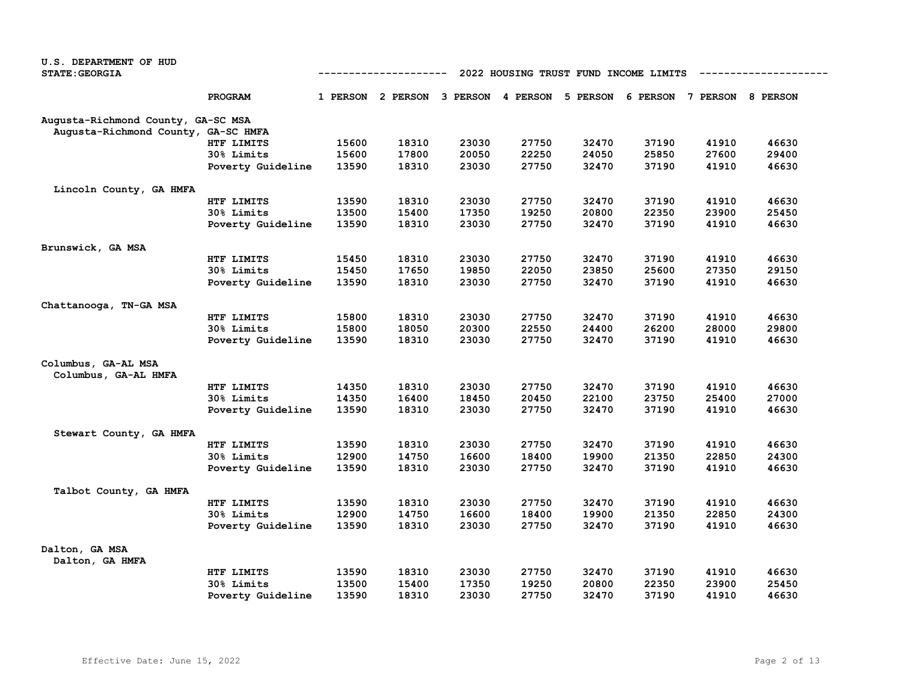| U.S. DEPARTMENT OF HUD              |                                                      |                |                                                                         |                |                |       |                |                |                |  |
|-------------------------------------|------------------------------------------------------|----------------|-------------------------------------------------------------------------|----------------|----------------|-------|----------------|----------------|----------------|--|
| <b>STATE: GEORGIA</b>               | -----------<br>2022 HOUSING TRUST FUND INCOME LIMITS |                |                                                                         |                |                |       |                |                |                |  |
|                                     | <b>PROGRAM</b>                                       |                | 1 PERSON 2 PERSON 3 PERSON 4 PERSON 5 PERSON 6 PERSON 7 PERSON 8 PERSON |                |                |       |                |                |                |  |
| Augusta-Richmond County, GA-SC MSA  |                                                      |                |                                                                         |                |                |       |                |                |                |  |
| Augusta-Richmond County, GA-SC HMFA |                                                      |                |                                                                         |                |                |       |                |                |                |  |
|                                     | HTF LIMITS                                           | 15600          | 18310                                                                   | 23030          | 27750          | 32470 | 37190          | 41910          | 46630          |  |
|                                     | 30% Limits                                           | 15600          | 17800                                                                   | 20050          | 22250          | 24050 | 25850          | 27600          | 29400          |  |
|                                     | Poverty Guideline                                    | 13590          | 18310                                                                   | 23030          | 27750          | 32470 | 37190          | 41910          | 46630          |  |
| Lincoln County, GA HMFA             |                                                      |                |                                                                         |                |                |       |                |                |                |  |
|                                     | HTF LIMITS                                           | 13590          | 18310                                                                   | 23030          | 27750          | 32470 | 37190          | 41910          | 46630          |  |
|                                     | 30% Limits                                           | 13500          | 15400                                                                   | 17350          | 19250          | 20800 | 22350          | 23900          | 25450          |  |
|                                     | Poverty Guideline                                    | 13590          | 18310                                                                   | 23030          | 27750          | 32470 | 37190          | 41910          | 46630          |  |
| Brunswick, GA MSA                   |                                                      |                |                                                                         |                |                |       |                |                |                |  |
|                                     | HTF LIMITS                                           | 15450          | 18310                                                                   | 23030          | 27750          | 32470 | 37190          | 41910          | 46630          |  |
|                                     | 30% Limits                                           | 15450          | 17650                                                                   | 19850          | 22050          | 23850 | 25600          | 27350          | 29150          |  |
|                                     | Poverty Guideline                                    | 13590          | 18310                                                                   | 23030          | 27750          | 32470 | 37190          | 41910          | 46630          |  |
| Chattanooga, TN-GA MSA              |                                                      |                |                                                                         |                |                |       |                |                |                |  |
|                                     | HTF LIMITS                                           | 15800          | 18310                                                                   | 23030          | 27750          | 32470 | 37190          | 41910          | 46630          |  |
|                                     | 30% Limits                                           | 15800          | 18050                                                                   | 20300          | 22550          | 24400 | 26200          | 28000          | 29800          |  |
|                                     | Poverty Guideline                                    | 13590          | 18310                                                                   | 23030          | 27750          | 32470 | 37190          | 41910          | 46630          |  |
| Columbus, GA-AL MSA                 |                                                      |                |                                                                         |                |                |       |                |                |                |  |
| Columbus, GA-AL HMFA                |                                                      |                |                                                                         |                |                |       |                |                |                |  |
|                                     | HTF LIMITS                                           | 14350          | 18310                                                                   | 23030          | 27750          | 32470 | 37190          | 41910          | 46630          |  |
|                                     | 30% Limits                                           | 14350          | 16400                                                                   | 18450          | 20450          | 22100 | 23750          | 25400          | 27000          |  |
|                                     | Poverty Guideline                                    | 13590          | 18310                                                                   | 23030          | 27750          | 32470 | 37190          | 41910          | 46630          |  |
| Stewart County, GA HMFA             |                                                      |                |                                                                         |                |                |       |                |                |                |  |
|                                     | HTF LIMITS                                           | 13590          | 18310                                                                   | 23030          | 27750          | 32470 | 37190          | 41910          | 46630          |  |
|                                     | 30% Limits                                           | 12900          | 14750                                                                   | 16600          | 18400          | 19900 | 21350          | 22850          | 24300          |  |
|                                     | Poverty Guideline                                    | 13590          | 18310                                                                   | 23030          | 27750          | 32470 | 37190          | 41910          | 46630          |  |
| Talbot County, GA HMFA              |                                                      |                |                                                                         |                |                |       |                |                |                |  |
|                                     | HTF LIMITS                                           | 13590          | 18310                                                                   | 23030          | 27750          | 32470 | 37190          | 41910          | 46630          |  |
|                                     | 30% Limits                                           | 12900          | 14750                                                                   | 16600          | 18400          | 19900 | 21350          | 22850          | 24300          |  |
|                                     | Poverty Guideline                                    | 13590          | 18310                                                                   | 23030          | 27750          | 32470 | 37190          | 41910          | 46630          |  |
| Dalton, GA MSA                      |                                                      |                |                                                                         |                |                |       |                |                |                |  |
| Dalton, GA HMFA                     |                                                      |                |                                                                         |                |                |       |                |                |                |  |
|                                     | HTF LIMITS                                           | 13590          | 18310                                                                   | 23030          | 27750          | 32470 | 37190          | 41910          | 46630          |  |
|                                     | 30% Limits                                           | 13500<br>13590 | 15400<br>18310                                                          | 17350<br>23030 | 19250<br>27750 | 20800 | 22350<br>37190 | 23900<br>41910 | 25450<br>46630 |  |
|                                     | Poverty Guideline                                    |                |                                                                         |                |                | 32470 |                |                |                |  |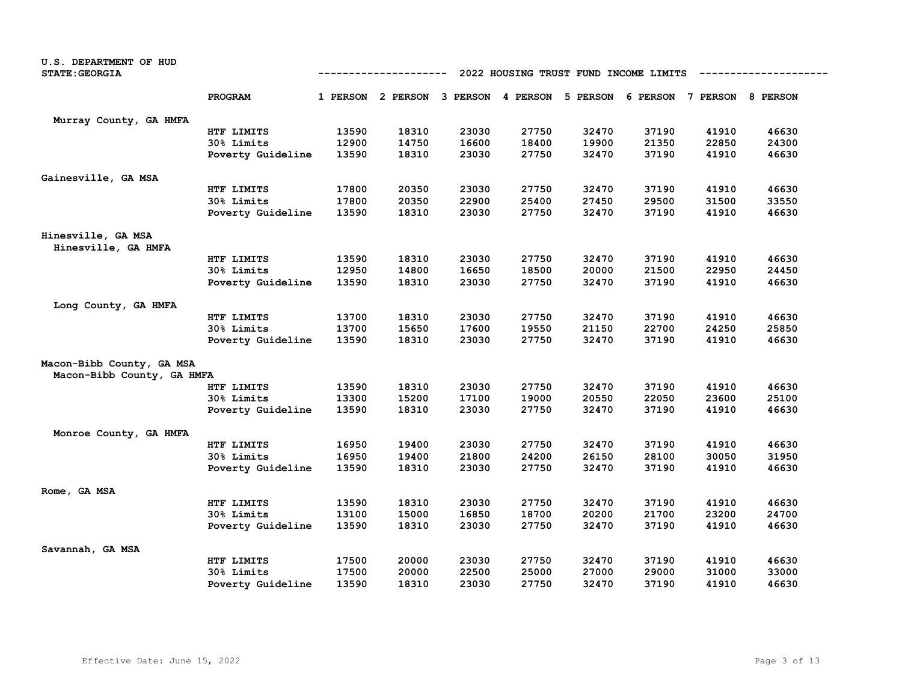| U.S. DEPARTMENT OF HUD<br><b>STATE: GEORGIA</b>         | 2022 HOUSING TRUST FUND INCOME LIMITS<br>----------- |       |       |                                     |       |          |       |                            |       |
|---------------------------------------------------------|------------------------------------------------------|-------|-------|-------------------------------------|-------|----------|-------|----------------------------|-------|
|                                                         | PROGRAM                                              |       |       | 1 PERSON 2 PERSON 3 PERSON 4 PERSON |       | 5 PERSON |       | 6 PERSON 7 PERSON 8 PERSON |       |
| Murray County, GA HMFA                                  |                                                      |       |       |                                     |       |          |       |                            |       |
|                                                         | HTF LIMITS                                           | 13590 | 18310 | 23030                               | 27750 | 32470    | 37190 | 41910                      | 46630 |
|                                                         | 30% Limits                                           | 12900 | 14750 | 16600                               | 18400 | 19900    | 21350 | 22850                      | 24300 |
|                                                         | Poverty Guideline                                    | 13590 | 18310 | 23030                               | 27750 | 32470    | 37190 | 41910                      | 46630 |
| Gainesville, GA MSA                                     |                                                      |       |       |                                     |       |          |       |                            |       |
|                                                         | HTF LIMITS                                           | 17800 | 20350 | 23030                               | 27750 | 32470    | 37190 | 41910                      | 46630 |
|                                                         | 30% Limits                                           | 17800 | 20350 | 22900                               | 25400 | 27450    | 29500 | 31500                      | 33550 |
|                                                         | Poverty Guideline                                    | 13590 | 18310 | 23030                               | 27750 | 32470    | 37190 | 41910                      | 46630 |
| Hinesville, GA MSA<br>Hinesville, GA HMFA               |                                                      |       |       |                                     |       |          |       |                            |       |
|                                                         | HTF LIMITS                                           | 13590 | 18310 | 23030                               | 27750 | 32470    | 37190 | 41910                      | 46630 |
|                                                         | 30% Limits                                           | 12950 | 14800 | 16650                               | 18500 | 20000    | 21500 | 22950                      | 24450 |
|                                                         | Poverty Guideline                                    | 13590 | 18310 | 23030                               | 27750 | 32470    | 37190 | 41910                      | 46630 |
| Long County, GA HMFA                                    |                                                      |       |       |                                     |       |          |       |                            |       |
|                                                         | HTF LIMITS                                           | 13700 | 18310 | 23030                               | 27750 | 32470    | 37190 | 41910                      | 46630 |
|                                                         | 30% Limits                                           | 13700 | 15650 | 17600                               | 19550 | 21150    | 22700 | 24250                      | 25850 |
|                                                         | Poverty Guideline                                    | 13590 | 18310 | 23030                               | 27750 | 32470    | 37190 | 41910                      | 46630 |
| Macon-Bibb County, GA MSA<br>Macon-Bibb County, GA HMFA |                                                      |       |       |                                     |       |          |       |                            |       |
|                                                         | HTF LIMITS                                           | 13590 | 18310 | 23030                               | 27750 | 32470    | 37190 | 41910                      | 46630 |
|                                                         | 30% Limits                                           | 13300 | 15200 | 17100                               | 19000 | 20550    | 22050 | 23600                      | 25100 |
|                                                         | Poverty Guideline                                    | 13590 | 18310 | 23030                               | 27750 | 32470    | 37190 | 41910                      | 46630 |
| Monroe County, GA HMFA                                  |                                                      |       |       |                                     |       |          |       |                            |       |
|                                                         | HTF LIMITS                                           | 16950 | 19400 | 23030                               | 27750 | 32470    | 37190 | 41910                      | 46630 |
|                                                         | 30% Limits                                           | 16950 | 19400 | 21800                               | 24200 | 26150    | 28100 | 30050                      | 31950 |
|                                                         | Poverty Guideline                                    | 13590 | 18310 | 23030                               | 27750 | 32470    | 37190 | 41910                      | 46630 |
| Rome, GA MSA                                            |                                                      |       |       |                                     |       |          |       |                            |       |
|                                                         | HTF LIMITS                                           | 13590 | 18310 | 23030                               | 27750 | 32470    | 37190 | 41910                      | 46630 |
|                                                         | 30% Limits                                           | 13100 | 15000 | 16850                               | 18700 | 20200    | 21700 | 23200                      | 24700 |
|                                                         | Poverty Guideline                                    | 13590 | 18310 | 23030                               | 27750 | 32470    | 37190 | 41910                      | 46630 |
| Savannah, GA MSA                                        |                                                      |       |       |                                     |       |          |       |                            |       |
|                                                         | HTF LIMITS                                           | 17500 | 20000 | 23030                               | 27750 | 32470    | 37190 | 41910                      | 46630 |
|                                                         | 30% Limits                                           | 17500 | 20000 | 22500                               | 25000 | 27000    | 29000 | 31000                      | 33000 |
|                                                         | Poverty Guideline                                    | 13590 | 18310 | 23030                               | 27750 | 32470    | 37190 | 41910                      | 46630 |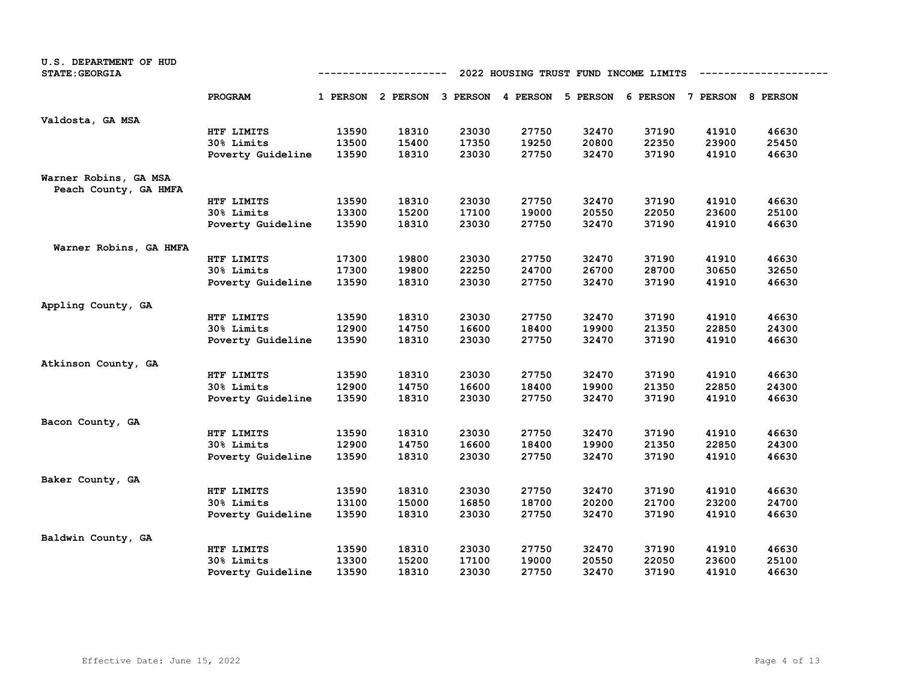| U.S. DEPARTMENT OF HUD<br><b>STATE: GEORGIA</b> |                   | 2022 HOUSING TRUST FUND INCOME LIMITS<br>----------- |                                                                         |       |       |       |       |       |       |
|-------------------------------------------------|-------------------|------------------------------------------------------|-------------------------------------------------------------------------|-------|-------|-------|-------|-------|-------|
|                                                 | PROGRAM           |                                                      | 1 PERSON 2 PERSON 3 PERSON 4 PERSON 5 PERSON 6 PERSON 7 PERSON 8 PERSON |       |       |       |       |       |       |
| Valdosta, GA MSA                                |                   |                                                      |                                                                         |       |       |       |       |       |       |
|                                                 | HTF LIMITS        | 13590                                                | 18310                                                                   | 23030 | 27750 | 32470 | 37190 | 41910 | 46630 |
|                                                 | 30% Limits        | 13500                                                | 15400                                                                   | 17350 | 19250 | 20800 | 22350 | 23900 | 25450 |
|                                                 | Poverty Guideline | 13590                                                | 18310                                                                   | 23030 | 27750 | 32470 | 37190 | 41910 | 46630 |
| Warner Robins, GA MSA<br>Peach County, GA HMFA  |                   |                                                      |                                                                         |       |       |       |       |       |       |
|                                                 | HTF LIMITS        | 13590                                                | 18310                                                                   | 23030 | 27750 | 32470 | 37190 | 41910 | 46630 |
|                                                 | 30% Limits        | 13300                                                | 15200                                                                   | 17100 | 19000 | 20550 | 22050 | 23600 | 25100 |
|                                                 | Poverty Guideline | 13590                                                | 18310                                                                   | 23030 | 27750 | 32470 | 37190 | 41910 | 46630 |
| Warner Robins, GA HMFA                          |                   |                                                      |                                                                         |       |       |       |       |       |       |
|                                                 | HTF LIMITS        | 17300                                                | 19800                                                                   | 23030 | 27750 | 32470 | 37190 | 41910 | 46630 |
|                                                 | 30% Limits        | 17300                                                | 19800                                                                   | 22250 | 24700 | 26700 | 28700 | 30650 | 32650 |
|                                                 | Poverty Guideline | 13590                                                | 18310                                                                   | 23030 | 27750 | 32470 | 37190 | 41910 | 46630 |
| Appling County, GA                              |                   |                                                      |                                                                         |       |       |       |       |       |       |
|                                                 | HTF LIMITS        | 13590                                                | 18310                                                                   | 23030 | 27750 | 32470 | 37190 | 41910 | 46630 |
|                                                 | 30% Limits        | 12900                                                | 14750                                                                   | 16600 | 18400 | 19900 | 21350 | 22850 | 24300 |
|                                                 | Poverty Guideline | 13590                                                | 18310                                                                   | 23030 | 27750 | 32470 | 37190 | 41910 | 46630 |
| Atkinson County, GA                             |                   |                                                      |                                                                         |       |       |       |       |       |       |
|                                                 | HTF LIMITS        | 13590                                                | 18310                                                                   | 23030 | 27750 | 32470 | 37190 | 41910 | 46630 |
|                                                 | 30% Limits        | 12900                                                | 14750                                                                   | 16600 | 18400 | 19900 | 21350 | 22850 | 24300 |
|                                                 | Poverty Guideline | 13590                                                | 18310                                                                   | 23030 | 27750 | 32470 | 37190 | 41910 | 46630 |
| Bacon County, GA                                |                   |                                                      |                                                                         |       |       |       |       |       |       |
|                                                 | HTF LIMITS        | 13590                                                | 18310                                                                   | 23030 | 27750 | 32470 | 37190 | 41910 | 46630 |
|                                                 | 30% Limits        | 12900                                                | 14750                                                                   | 16600 | 18400 | 19900 | 21350 | 22850 | 24300 |
|                                                 | Poverty Guideline | 13590                                                | 18310                                                                   | 23030 | 27750 | 32470 | 37190 | 41910 | 46630 |
| Baker County, GA                                |                   |                                                      |                                                                         |       |       |       |       |       |       |
|                                                 | HTF LIMITS        | 13590                                                | 18310                                                                   | 23030 | 27750 | 32470 | 37190 | 41910 | 46630 |
|                                                 | 30% Limits        | 13100                                                | 15000                                                                   | 16850 | 18700 | 20200 | 21700 | 23200 | 24700 |
|                                                 | Poverty Guideline | 13590                                                | 18310                                                                   | 23030 | 27750 | 32470 | 37190 | 41910 | 46630 |
| Baldwin County, GA                              |                   |                                                      |                                                                         |       |       |       |       |       |       |
|                                                 | HTF LIMITS        | 13590                                                | 18310                                                                   | 23030 | 27750 | 32470 | 37190 | 41910 | 46630 |
|                                                 | 30% Limits        | 13300                                                | 15200                                                                   | 17100 | 19000 | 20550 | 22050 | 23600 | 25100 |
|                                                 | Poverty Guideline | 13590                                                | 18310                                                                   | 23030 | 27750 | 32470 | 37190 | 41910 | 46630 |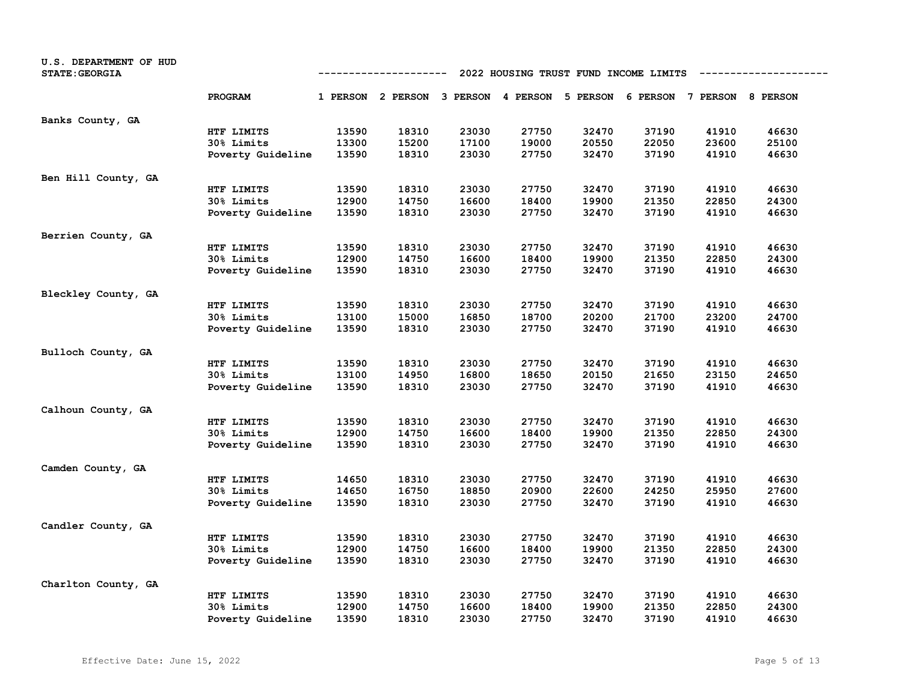| U.S. DEPARTMENT OF HUD<br><b>STATE: GEORGIA</b> | 2022 HOUSING TRUST FUND INCOME LIMITS<br>---------- |       |                                                                         |       |       |       |       |       |       |
|-------------------------------------------------|-----------------------------------------------------|-------|-------------------------------------------------------------------------|-------|-------|-------|-------|-------|-------|
|                                                 | PROGRAM                                             |       | 1 PERSON 2 PERSON 3 PERSON 4 PERSON 5 PERSON 6 PERSON 7 PERSON 8 PERSON |       |       |       |       |       |       |
| Banks County, GA                                |                                                     |       |                                                                         |       |       |       |       |       |       |
|                                                 | HTF LIMITS                                          | 13590 | 18310                                                                   | 23030 | 27750 | 32470 | 37190 | 41910 | 46630 |
|                                                 | 30% Limits                                          | 13300 | 15200                                                                   | 17100 | 19000 | 20550 | 22050 | 23600 | 25100 |
|                                                 | Poverty Guideline                                   | 13590 | 18310                                                                   | 23030 | 27750 | 32470 | 37190 | 41910 | 46630 |
| Ben Hill County, GA                             |                                                     |       |                                                                         |       |       |       |       |       |       |
|                                                 | HTF LIMITS                                          | 13590 | 18310                                                                   | 23030 | 27750 | 32470 | 37190 | 41910 | 46630 |
|                                                 | 30% Limits                                          | 12900 | 14750                                                                   | 16600 | 18400 | 19900 | 21350 | 22850 | 24300 |
|                                                 | Poverty Guideline                                   | 13590 | 18310                                                                   | 23030 | 27750 | 32470 | 37190 | 41910 | 46630 |
| Berrien County, GA                              |                                                     |       |                                                                         |       |       |       |       |       |       |
|                                                 | HTF LIMITS                                          | 13590 | 18310                                                                   | 23030 | 27750 | 32470 | 37190 | 41910 | 46630 |
|                                                 | 30% Limits                                          | 12900 | 14750                                                                   | 16600 | 18400 | 19900 | 21350 | 22850 | 24300 |
|                                                 | Poverty Guideline                                   | 13590 | 18310                                                                   | 23030 | 27750 | 32470 | 37190 | 41910 | 46630 |
| Bleckley County, GA                             |                                                     |       |                                                                         |       |       |       |       |       |       |
|                                                 | HTF LIMITS                                          | 13590 | 18310                                                                   | 23030 | 27750 | 32470 | 37190 | 41910 | 46630 |
|                                                 | 30% Limits                                          | 13100 | 15000                                                                   | 16850 | 18700 | 20200 | 21700 | 23200 | 24700 |
|                                                 | Poverty Guideline                                   | 13590 | 18310                                                                   | 23030 | 27750 | 32470 | 37190 | 41910 | 46630 |
| Bulloch County, GA                              |                                                     |       |                                                                         |       |       |       |       |       |       |
|                                                 | HTF LIMITS                                          | 13590 | 18310                                                                   | 23030 | 27750 | 32470 | 37190 | 41910 | 46630 |
|                                                 | 30% Limits                                          | 13100 | 14950                                                                   | 16800 | 18650 | 20150 | 21650 | 23150 | 24650 |
|                                                 | Poverty Guideline                                   | 13590 | 18310                                                                   | 23030 | 27750 | 32470 | 37190 | 41910 | 46630 |
| Calhoun County, GA                              |                                                     |       |                                                                         |       |       |       |       |       |       |
|                                                 | HTF LIMITS                                          | 13590 | 18310                                                                   | 23030 | 27750 | 32470 | 37190 | 41910 | 46630 |
|                                                 | 30% Limits                                          | 12900 | 14750                                                                   | 16600 | 18400 | 19900 | 21350 | 22850 | 24300 |
|                                                 | Poverty Guideline                                   | 13590 | 18310                                                                   | 23030 | 27750 | 32470 | 37190 | 41910 | 46630 |
| Camden County, GA                               |                                                     |       |                                                                         |       |       |       |       |       |       |
|                                                 | HTF LIMITS                                          | 14650 | 18310                                                                   | 23030 | 27750 | 32470 | 37190 | 41910 | 46630 |
|                                                 | 30% Limits                                          | 14650 | 16750                                                                   | 18850 | 20900 | 22600 | 24250 | 25950 | 27600 |
|                                                 | Poverty Guideline                                   | 13590 | 18310                                                                   | 23030 | 27750 | 32470 | 37190 | 41910 | 46630 |
| Candler County, GA                              |                                                     |       |                                                                         |       |       |       |       |       |       |
|                                                 | HTF LIMITS                                          | 13590 | 18310                                                                   | 23030 | 27750 | 32470 | 37190 | 41910 | 46630 |
|                                                 | 30% Limits                                          | 12900 | 14750                                                                   | 16600 | 18400 | 19900 | 21350 | 22850 | 24300 |
|                                                 | Poverty Guideline                                   | 13590 | 18310                                                                   | 23030 | 27750 | 32470 | 37190 | 41910 | 46630 |
| Charlton County, GA                             |                                                     |       |                                                                         |       |       |       |       |       |       |
|                                                 | HTF LIMITS                                          | 13590 | 18310                                                                   | 23030 | 27750 | 32470 | 37190 | 41910 | 46630 |
|                                                 | 30% Limits                                          | 12900 | 14750                                                                   | 16600 | 18400 | 19900 | 21350 | 22850 | 24300 |
|                                                 | Poverty Guideline                                   | 13590 | 18310                                                                   | 23030 | 27750 | 32470 | 37190 | 41910 | 46630 |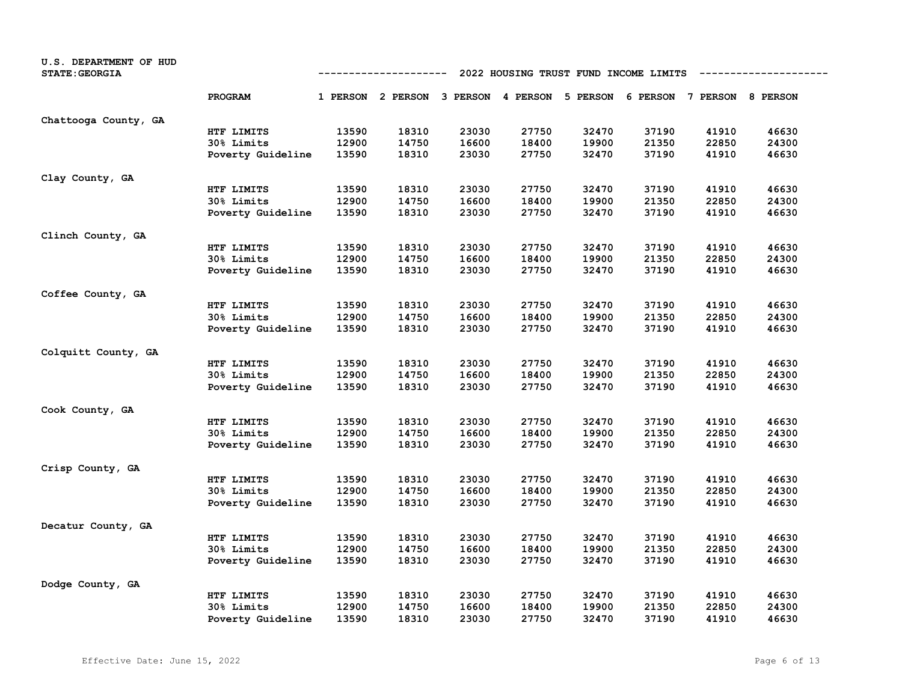| U.S. DEPARTMENT OF HUD<br><b>STATE: GEORGIA</b> | 2022 HOUSING TRUST FUND INCOME LIMITS<br>---------- |       |                                                                         |       |       |       |       |       |       |
|-------------------------------------------------|-----------------------------------------------------|-------|-------------------------------------------------------------------------|-------|-------|-------|-------|-------|-------|
|                                                 | PROGRAM                                             |       | 1 PERSON 2 PERSON 3 PERSON 4 PERSON 5 PERSON 6 PERSON 7 PERSON 8 PERSON |       |       |       |       |       |       |
| Chattooga County, GA                            |                                                     |       |                                                                         |       |       |       |       |       |       |
|                                                 | HTF LIMITS                                          | 13590 | 18310                                                                   | 23030 | 27750 | 32470 | 37190 | 41910 | 46630 |
|                                                 | 30% Limits                                          | 12900 | 14750                                                                   | 16600 | 18400 | 19900 | 21350 | 22850 | 24300 |
|                                                 | Poverty Guideline                                   | 13590 | 18310                                                                   | 23030 | 27750 | 32470 | 37190 | 41910 | 46630 |
| Clay County, GA                                 |                                                     |       |                                                                         |       |       |       |       |       |       |
|                                                 | HTF LIMITS                                          | 13590 | 18310                                                                   | 23030 | 27750 | 32470 | 37190 | 41910 | 46630 |
|                                                 | 30% Limits                                          | 12900 | 14750                                                                   | 16600 | 18400 | 19900 | 21350 | 22850 | 24300 |
|                                                 | Poverty Guideline                                   | 13590 | 18310                                                                   | 23030 | 27750 | 32470 | 37190 | 41910 | 46630 |
| Clinch County, GA                               |                                                     |       |                                                                         |       |       |       |       |       |       |
|                                                 | HTF LIMITS                                          | 13590 | 18310                                                                   | 23030 | 27750 | 32470 | 37190 | 41910 | 46630 |
|                                                 | 30% Limits                                          | 12900 | 14750                                                                   | 16600 | 18400 | 19900 | 21350 | 22850 | 24300 |
|                                                 | Poverty Guideline                                   | 13590 | 18310                                                                   | 23030 | 27750 | 32470 | 37190 | 41910 | 46630 |
| Coffee County, GA                               |                                                     |       |                                                                         |       |       |       |       |       |       |
|                                                 | HTF LIMITS                                          | 13590 | 18310                                                                   | 23030 | 27750 | 32470 | 37190 | 41910 | 46630 |
|                                                 | 30% Limits                                          | 12900 | 14750                                                                   | 16600 | 18400 | 19900 | 21350 | 22850 | 24300 |
|                                                 | Poverty Guideline                                   | 13590 | 18310                                                                   | 23030 | 27750 | 32470 | 37190 | 41910 | 46630 |
| Colquitt County, GA                             |                                                     |       |                                                                         |       |       |       |       |       |       |
|                                                 | HTF LIMITS                                          | 13590 | 18310                                                                   | 23030 | 27750 | 32470 | 37190 | 41910 | 46630 |
|                                                 | 30% Limits                                          | 12900 | 14750                                                                   | 16600 | 18400 | 19900 | 21350 | 22850 | 24300 |
|                                                 | Poverty Guideline                                   | 13590 | 18310                                                                   | 23030 | 27750 | 32470 | 37190 | 41910 | 46630 |
| Cook County, GA                                 |                                                     |       |                                                                         |       |       |       |       |       |       |
|                                                 | HTF LIMITS                                          | 13590 | 18310                                                                   | 23030 | 27750 | 32470 | 37190 | 41910 | 46630 |
|                                                 | 30% Limits                                          | 12900 | 14750                                                                   | 16600 | 18400 | 19900 | 21350 | 22850 | 24300 |
|                                                 | Poverty Guideline                                   | 13590 | 18310                                                                   | 23030 | 27750 | 32470 | 37190 | 41910 | 46630 |
| Crisp County, GA                                |                                                     |       |                                                                         |       |       |       |       |       |       |
|                                                 | HTF LIMITS                                          | 13590 | 18310                                                                   | 23030 | 27750 | 32470 | 37190 | 41910 | 46630 |
|                                                 | 30% Limits                                          | 12900 | 14750                                                                   | 16600 | 18400 | 19900 | 21350 | 22850 | 24300 |
|                                                 | Poverty Guideline                                   | 13590 | 18310                                                                   | 23030 | 27750 | 32470 | 37190 | 41910 | 46630 |
| Decatur County, GA                              |                                                     |       |                                                                         |       |       |       |       |       |       |
|                                                 | HTF LIMITS                                          | 13590 | 18310                                                                   | 23030 | 27750 | 32470 | 37190 | 41910 | 46630 |
|                                                 | 30% Limits                                          | 12900 | 14750                                                                   | 16600 | 18400 | 19900 | 21350 | 22850 | 24300 |
|                                                 | Poverty Guideline                                   | 13590 | 18310                                                                   | 23030 | 27750 | 32470 | 37190 | 41910 | 46630 |
| Dodge County, GA                                |                                                     |       |                                                                         |       |       |       |       |       |       |
|                                                 | HTF LIMITS                                          | 13590 | 18310                                                                   | 23030 | 27750 | 32470 | 37190 | 41910 | 46630 |
|                                                 | 30% Limits                                          | 12900 | 14750                                                                   | 16600 | 18400 | 19900 | 21350 | 22850 | 24300 |
|                                                 | Poverty Guideline                                   | 13590 | 18310                                                                   | 23030 | 27750 | 32470 | 37190 | 41910 | 46630 |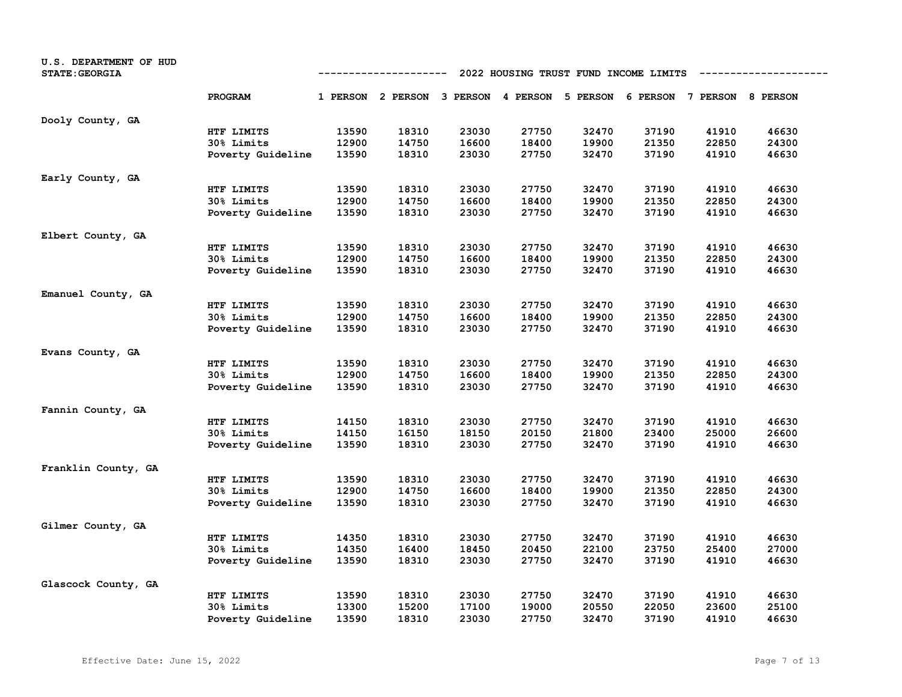| U.S. DEPARTMENT OF HUD<br><b>STATE: GEORGIA</b> | 2022 HOUSING TRUST FUND INCOME LIMITS<br>---------- |       |                                                                         |       |       |       |       |       |       |
|-------------------------------------------------|-----------------------------------------------------|-------|-------------------------------------------------------------------------|-------|-------|-------|-------|-------|-------|
|                                                 | PROGRAM                                             |       | 1 PERSON 2 PERSON 3 PERSON 4 PERSON 5 PERSON 6 PERSON 7 PERSON 8 PERSON |       |       |       |       |       |       |
| Dooly County, GA                                |                                                     |       |                                                                         |       |       |       |       |       |       |
|                                                 | HTF LIMITS                                          | 13590 | 18310                                                                   | 23030 | 27750 | 32470 | 37190 | 41910 | 46630 |
|                                                 | 30% Limits                                          | 12900 | 14750                                                                   | 16600 | 18400 | 19900 | 21350 | 22850 | 24300 |
|                                                 | Poverty Guideline                                   | 13590 | 18310                                                                   | 23030 | 27750 | 32470 | 37190 | 41910 | 46630 |
| Early County, GA                                |                                                     |       |                                                                         |       |       |       |       |       |       |
|                                                 | HTF LIMITS                                          | 13590 | 18310                                                                   | 23030 | 27750 | 32470 | 37190 | 41910 | 46630 |
|                                                 | 30% Limits                                          | 12900 | 14750                                                                   | 16600 | 18400 | 19900 | 21350 | 22850 | 24300 |
|                                                 | Poverty Guideline                                   | 13590 | 18310                                                                   | 23030 | 27750 | 32470 | 37190 | 41910 | 46630 |
| Elbert County, GA                               |                                                     |       |                                                                         |       |       |       |       |       |       |
|                                                 | HTF LIMITS                                          | 13590 | 18310                                                                   | 23030 | 27750 | 32470 | 37190 | 41910 | 46630 |
|                                                 | 30% Limits                                          | 12900 | 14750                                                                   | 16600 | 18400 | 19900 | 21350 | 22850 | 24300 |
|                                                 | Poverty Guideline                                   | 13590 | 18310                                                                   | 23030 | 27750 | 32470 | 37190 | 41910 | 46630 |
| Emanuel County, GA                              |                                                     |       |                                                                         |       |       |       |       |       |       |
|                                                 | HTF LIMITS                                          | 13590 | 18310                                                                   | 23030 | 27750 | 32470 | 37190 | 41910 | 46630 |
|                                                 | 30% Limits                                          | 12900 | 14750                                                                   | 16600 | 18400 | 19900 | 21350 | 22850 | 24300 |
|                                                 | Poverty Guideline                                   | 13590 | 18310                                                                   | 23030 | 27750 | 32470 | 37190 | 41910 | 46630 |
| Evans County, GA                                |                                                     |       |                                                                         |       |       |       |       |       |       |
|                                                 | HTF LIMITS                                          | 13590 | 18310                                                                   | 23030 | 27750 | 32470 | 37190 | 41910 | 46630 |
|                                                 | 30% Limits                                          | 12900 | 14750                                                                   | 16600 | 18400 | 19900 | 21350 | 22850 | 24300 |
|                                                 | Poverty Guideline                                   | 13590 | 18310                                                                   | 23030 | 27750 | 32470 | 37190 | 41910 | 46630 |
| Fannin County, GA                               |                                                     |       |                                                                         |       |       |       |       |       |       |
|                                                 | HTF LIMITS                                          | 14150 | 18310                                                                   | 23030 | 27750 | 32470 | 37190 | 41910 | 46630 |
|                                                 | 30% Limits                                          | 14150 | 16150                                                                   | 18150 | 20150 | 21800 | 23400 | 25000 | 26600 |
|                                                 | Poverty Guideline                                   | 13590 | 18310                                                                   | 23030 | 27750 | 32470 | 37190 | 41910 | 46630 |
| Franklin County, GA                             |                                                     |       |                                                                         |       |       |       |       |       |       |
|                                                 | HTF LIMITS                                          | 13590 | 18310                                                                   | 23030 | 27750 | 32470 | 37190 | 41910 | 46630 |
|                                                 | 30% Limits                                          | 12900 | 14750                                                                   | 16600 | 18400 | 19900 | 21350 | 22850 | 24300 |
|                                                 | Poverty Guideline                                   | 13590 | 18310                                                                   | 23030 | 27750 | 32470 | 37190 | 41910 | 46630 |
| Gilmer County, GA                               |                                                     |       |                                                                         |       |       |       |       |       |       |
|                                                 | HTF LIMITS                                          | 14350 | 18310                                                                   | 23030 | 27750 | 32470 | 37190 | 41910 | 46630 |
|                                                 | 30% Limits                                          | 14350 | 16400                                                                   | 18450 | 20450 | 22100 | 23750 | 25400 | 27000 |
|                                                 | Poverty Guideline                                   | 13590 | 18310                                                                   | 23030 | 27750 | 32470 | 37190 | 41910 | 46630 |
| Glascock County, GA                             |                                                     |       |                                                                         |       |       |       |       |       |       |
|                                                 | HTF LIMITS                                          | 13590 | 18310                                                                   | 23030 | 27750 | 32470 | 37190 | 41910 | 46630 |
|                                                 | 30% Limits                                          | 13300 | 15200                                                                   | 17100 | 19000 | 20550 | 22050 | 23600 | 25100 |
|                                                 | Poverty Guideline                                   | 13590 | 18310                                                                   | 23030 | 27750 | 32470 | 37190 | 41910 | 46630 |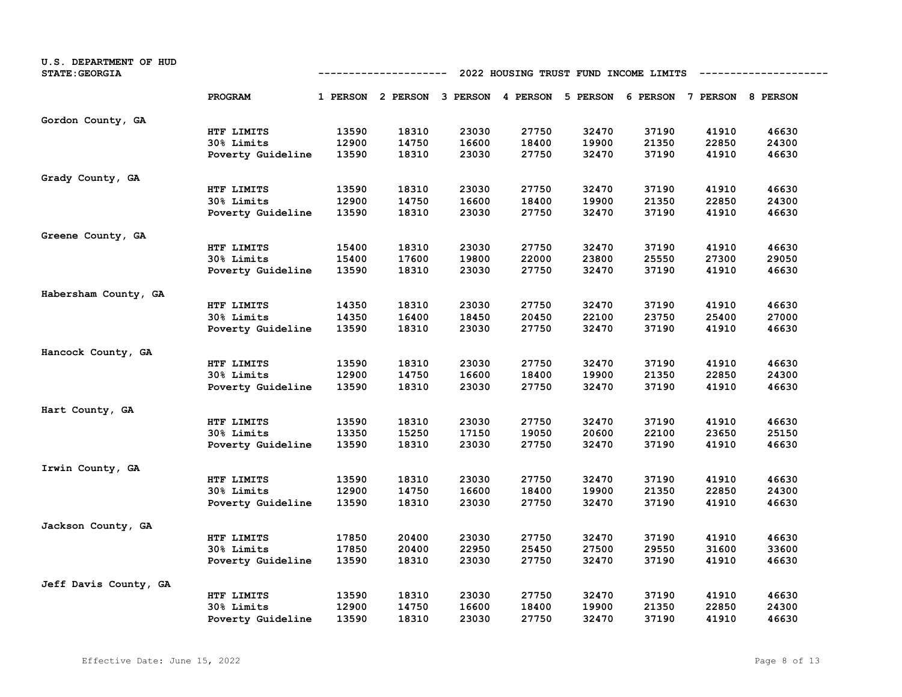| U.S. DEPARTMENT OF HUD<br><b>STATE: GEORGIA</b> | 2022 HOUSING TRUST FUND INCOME LIMITS<br>---------- |       |                                                                         |       |       |       |       |       |       |
|-------------------------------------------------|-----------------------------------------------------|-------|-------------------------------------------------------------------------|-------|-------|-------|-------|-------|-------|
|                                                 | PROGRAM                                             |       | 1 PERSON 2 PERSON 3 PERSON 4 PERSON 5 PERSON 6 PERSON 7 PERSON 8 PERSON |       |       |       |       |       |       |
| Gordon County, GA                               |                                                     |       |                                                                         |       |       |       |       |       |       |
|                                                 | HTF LIMITS                                          | 13590 | 18310                                                                   | 23030 | 27750 | 32470 | 37190 | 41910 | 46630 |
|                                                 | 30% Limits                                          | 12900 | 14750                                                                   | 16600 | 18400 | 19900 | 21350 | 22850 | 24300 |
|                                                 | Poverty Guideline                                   | 13590 | 18310                                                                   | 23030 | 27750 | 32470 | 37190 | 41910 | 46630 |
| Grady County, GA                                |                                                     |       |                                                                         |       |       |       |       |       |       |
|                                                 | HTF LIMITS                                          | 13590 | 18310                                                                   | 23030 | 27750 | 32470 | 37190 | 41910 | 46630 |
|                                                 | 30% Limits                                          | 12900 | 14750                                                                   | 16600 | 18400 | 19900 | 21350 | 22850 | 24300 |
|                                                 | Poverty Guideline                                   | 13590 | 18310                                                                   | 23030 | 27750 | 32470 | 37190 | 41910 | 46630 |
| Greene County, GA                               |                                                     |       |                                                                         |       |       |       |       |       |       |
|                                                 | HTF LIMITS                                          | 15400 | 18310                                                                   | 23030 | 27750 | 32470 | 37190 | 41910 | 46630 |
|                                                 | 30% Limits                                          | 15400 | 17600                                                                   | 19800 | 22000 | 23800 | 25550 | 27300 | 29050 |
|                                                 | Poverty Guideline                                   | 13590 | 18310                                                                   | 23030 | 27750 | 32470 | 37190 | 41910 | 46630 |
| Habersham County, GA                            |                                                     |       |                                                                         |       |       |       |       |       |       |
|                                                 | HTF LIMITS                                          | 14350 | 18310                                                                   | 23030 | 27750 | 32470 | 37190 | 41910 | 46630 |
|                                                 | 30% Limits                                          | 14350 | 16400                                                                   | 18450 | 20450 | 22100 | 23750 | 25400 | 27000 |
|                                                 | Poverty Guideline                                   | 13590 | 18310                                                                   | 23030 | 27750 | 32470 | 37190 | 41910 | 46630 |
| Hancock County, GA                              |                                                     |       |                                                                         |       |       |       |       |       |       |
|                                                 | HTF LIMITS                                          | 13590 | 18310                                                                   | 23030 | 27750 | 32470 | 37190 | 41910 | 46630 |
|                                                 | 30% Limits                                          | 12900 | 14750                                                                   | 16600 | 18400 | 19900 | 21350 | 22850 | 24300 |
|                                                 | Poverty Guideline                                   | 13590 | 18310                                                                   | 23030 | 27750 | 32470 | 37190 | 41910 | 46630 |
| Hart County, GA                                 |                                                     |       |                                                                         |       |       |       |       |       |       |
|                                                 | HTF LIMITS                                          | 13590 | 18310                                                                   | 23030 | 27750 | 32470 | 37190 | 41910 | 46630 |
|                                                 | 30% Limits                                          | 13350 | 15250                                                                   | 17150 | 19050 | 20600 | 22100 | 23650 | 25150 |
|                                                 | Poverty Guideline                                   | 13590 | 18310                                                                   | 23030 | 27750 | 32470 | 37190 | 41910 | 46630 |
| Irwin County, GA                                |                                                     |       |                                                                         |       |       |       |       |       |       |
|                                                 | HTF LIMITS                                          | 13590 | 18310                                                                   | 23030 | 27750 | 32470 | 37190 | 41910 | 46630 |
|                                                 | 30% Limits                                          | 12900 | 14750                                                                   | 16600 | 18400 | 19900 | 21350 | 22850 | 24300 |
|                                                 | Poverty Guideline                                   | 13590 | 18310                                                                   | 23030 | 27750 | 32470 | 37190 | 41910 | 46630 |
| Jackson County, GA                              |                                                     |       |                                                                         |       |       |       |       |       |       |
|                                                 | HTF LIMITS                                          | 17850 | 20400                                                                   | 23030 | 27750 | 32470 | 37190 | 41910 | 46630 |
|                                                 | 30% Limits                                          | 17850 | 20400                                                                   | 22950 | 25450 | 27500 | 29550 | 31600 | 33600 |
|                                                 | Poverty Guideline                                   | 13590 | 18310                                                                   | 23030 | 27750 | 32470 | 37190 | 41910 | 46630 |
| Jeff Davis County, GA                           |                                                     |       |                                                                         |       |       |       |       |       |       |
|                                                 | HTF LIMITS                                          | 13590 | 18310                                                                   | 23030 | 27750 | 32470 | 37190 | 41910 | 46630 |
|                                                 | 30% Limits                                          | 12900 | 14750                                                                   | 16600 | 18400 | 19900 | 21350 | 22850 | 24300 |
|                                                 | Poverty Guideline                                   | 13590 | 18310                                                                   | 23030 | 27750 | 32470 | 37190 | 41910 | 46630 |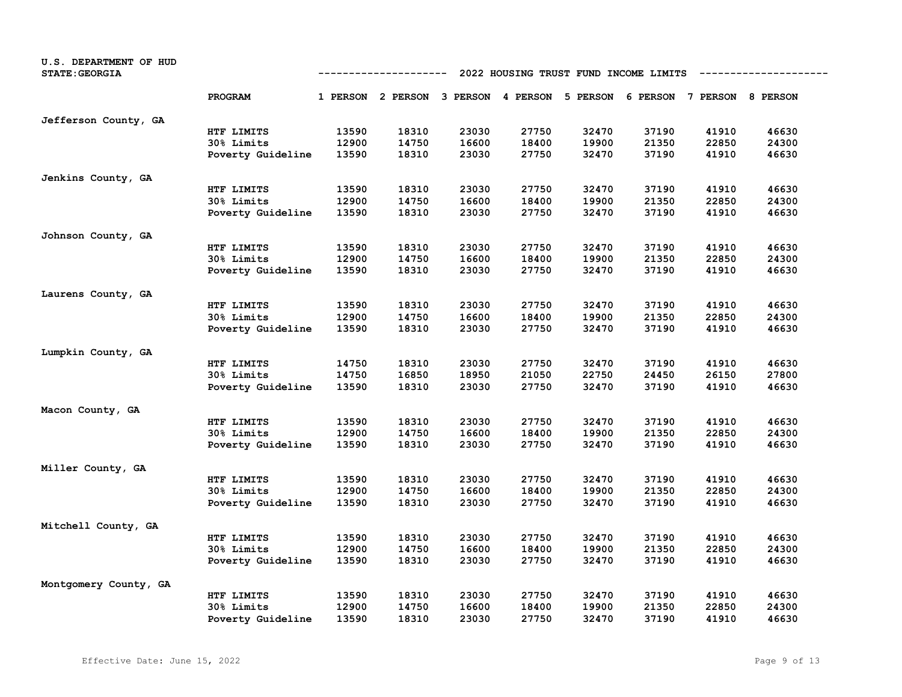| U.S. DEPARTMENT OF HUD<br><b>STATE: GEORGIA</b> | 2022 HOUSING TRUST FUND INCOME LIMITS<br>---------- |       |                                                                         |       |       |       |       |       |       |
|-------------------------------------------------|-----------------------------------------------------|-------|-------------------------------------------------------------------------|-------|-------|-------|-------|-------|-------|
|                                                 | PROGRAM                                             |       | 1 PERSON 2 PERSON 3 PERSON 4 PERSON 5 PERSON 6 PERSON 7 PERSON 8 PERSON |       |       |       |       |       |       |
| Jefferson County, GA                            |                                                     |       |                                                                         |       |       |       |       |       |       |
|                                                 | HTF LIMITS                                          | 13590 | 18310                                                                   | 23030 | 27750 | 32470 | 37190 | 41910 | 46630 |
|                                                 | 30% Limits                                          | 12900 | 14750                                                                   | 16600 | 18400 | 19900 | 21350 | 22850 | 24300 |
|                                                 | Poverty Guideline                                   | 13590 | 18310                                                                   | 23030 | 27750 | 32470 | 37190 | 41910 | 46630 |
| Jenkins County, GA                              |                                                     |       |                                                                         |       |       |       |       |       |       |
|                                                 | HTF LIMITS                                          | 13590 | 18310                                                                   | 23030 | 27750 | 32470 | 37190 | 41910 | 46630 |
|                                                 | 30% Limits                                          | 12900 | 14750                                                                   | 16600 | 18400 | 19900 | 21350 | 22850 | 24300 |
|                                                 | Poverty Guideline                                   | 13590 | 18310                                                                   | 23030 | 27750 | 32470 | 37190 | 41910 | 46630 |
| Johnson County, GA                              |                                                     |       |                                                                         |       |       |       |       |       |       |
|                                                 | HTF LIMITS                                          | 13590 | 18310                                                                   | 23030 | 27750 | 32470 | 37190 | 41910 | 46630 |
|                                                 | 30% Limits                                          | 12900 | 14750                                                                   | 16600 | 18400 | 19900 | 21350 | 22850 | 24300 |
|                                                 | Poverty Guideline                                   | 13590 | 18310                                                                   | 23030 | 27750 | 32470 | 37190 | 41910 | 46630 |
| Laurens County, GA                              |                                                     |       |                                                                         |       |       |       |       |       |       |
|                                                 | HTF LIMITS                                          | 13590 | 18310                                                                   | 23030 | 27750 | 32470 | 37190 | 41910 | 46630 |
|                                                 | 30% Limits                                          | 12900 | 14750                                                                   | 16600 | 18400 | 19900 | 21350 | 22850 | 24300 |
|                                                 | Poverty Guideline                                   | 13590 | 18310                                                                   | 23030 | 27750 | 32470 | 37190 | 41910 | 46630 |
| Lumpkin County, GA                              |                                                     |       |                                                                         |       |       |       |       |       |       |
|                                                 | HTF LIMITS                                          | 14750 | 18310                                                                   | 23030 | 27750 | 32470 | 37190 | 41910 | 46630 |
|                                                 | 30% Limits                                          | 14750 | 16850                                                                   | 18950 | 21050 | 22750 | 24450 | 26150 | 27800 |
|                                                 | Poverty Guideline                                   | 13590 | 18310                                                                   | 23030 | 27750 | 32470 | 37190 | 41910 | 46630 |
| Macon County, GA                                |                                                     |       |                                                                         |       |       |       |       |       |       |
|                                                 | HTF LIMITS                                          | 13590 | 18310                                                                   | 23030 | 27750 | 32470 | 37190 | 41910 | 46630 |
|                                                 | 30% Limits                                          | 12900 | 14750                                                                   | 16600 | 18400 | 19900 | 21350 | 22850 | 24300 |
|                                                 | Poverty Guideline                                   | 13590 | 18310                                                                   | 23030 | 27750 | 32470 | 37190 | 41910 | 46630 |
| Miller County, GA                               |                                                     |       |                                                                         |       |       |       |       |       |       |
|                                                 | HTF LIMITS                                          | 13590 | 18310                                                                   | 23030 | 27750 | 32470 | 37190 | 41910 | 46630 |
|                                                 | 30% Limits                                          | 12900 | 14750                                                                   | 16600 | 18400 | 19900 | 21350 | 22850 | 24300 |
|                                                 | Poverty Guideline                                   | 13590 | 18310                                                                   | 23030 | 27750 | 32470 | 37190 | 41910 | 46630 |
| Mitchell County, GA                             |                                                     |       |                                                                         |       |       |       |       |       |       |
|                                                 | HTF LIMITS                                          | 13590 | 18310                                                                   | 23030 | 27750 | 32470 | 37190 | 41910 | 46630 |
|                                                 | 30% Limits                                          | 12900 | 14750                                                                   | 16600 | 18400 | 19900 | 21350 | 22850 | 24300 |
|                                                 | Poverty Guideline                                   | 13590 | 18310                                                                   | 23030 | 27750 | 32470 | 37190 | 41910 | 46630 |
| Montgomery County, GA                           |                                                     |       |                                                                         |       |       |       |       |       |       |
|                                                 | HTF LIMITS                                          | 13590 | 18310                                                                   | 23030 | 27750 | 32470 | 37190 | 41910 | 46630 |
|                                                 | 30% Limits                                          | 12900 | 14750                                                                   | 16600 | 18400 | 19900 | 21350 | 22850 | 24300 |
|                                                 | Poverty Guideline                                   | 13590 | 18310                                                                   | 23030 | 27750 | 32470 | 37190 | 41910 | 46630 |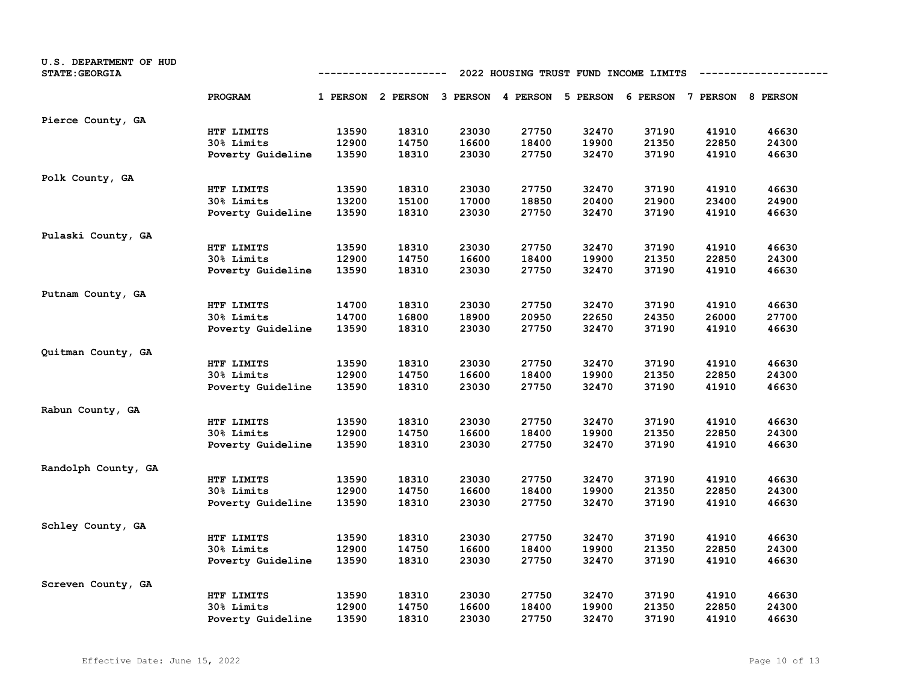| U.S. DEPARTMENT OF HUD<br><b>STATE: GEORGIA</b> | 2022 HOUSING TRUST FUND INCOME LIMITS<br>---------- |       |                                                                         |       |       |       |       |       |       |
|-------------------------------------------------|-----------------------------------------------------|-------|-------------------------------------------------------------------------|-------|-------|-------|-------|-------|-------|
|                                                 | PROGRAM                                             |       | 1 PERSON 2 PERSON 3 PERSON 4 PERSON 5 PERSON 6 PERSON 7 PERSON 8 PERSON |       |       |       |       |       |       |
| Pierce County, GA                               |                                                     |       |                                                                         |       |       |       |       |       |       |
|                                                 | HTF LIMITS                                          | 13590 | 18310                                                                   | 23030 | 27750 | 32470 | 37190 | 41910 | 46630 |
|                                                 | 30% Limits                                          | 12900 | 14750                                                                   | 16600 | 18400 | 19900 | 21350 | 22850 | 24300 |
|                                                 | Poverty Guideline                                   | 13590 | 18310                                                                   | 23030 | 27750 | 32470 | 37190 | 41910 | 46630 |
| Polk County, GA                                 |                                                     |       |                                                                         |       |       |       |       |       |       |
|                                                 | HTF LIMITS                                          | 13590 | 18310                                                                   | 23030 | 27750 | 32470 | 37190 | 41910 | 46630 |
|                                                 | 30% Limits                                          | 13200 | 15100                                                                   | 17000 | 18850 | 20400 | 21900 | 23400 | 24900 |
|                                                 | Poverty Guideline                                   | 13590 | 18310                                                                   | 23030 | 27750 | 32470 | 37190 | 41910 | 46630 |
| Pulaski County, GA                              |                                                     |       |                                                                         |       |       |       |       |       |       |
|                                                 | HTF LIMITS                                          | 13590 | 18310                                                                   | 23030 | 27750 | 32470 | 37190 | 41910 | 46630 |
|                                                 | 30% Limits                                          | 12900 | 14750                                                                   | 16600 | 18400 | 19900 | 21350 | 22850 | 24300 |
|                                                 | Poverty Guideline                                   | 13590 | 18310                                                                   | 23030 | 27750 | 32470 | 37190 | 41910 | 46630 |
| Putnam County, GA                               |                                                     |       |                                                                         |       |       |       |       |       |       |
|                                                 | HTF LIMITS                                          | 14700 | 18310                                                                   | 23030 | 27750 | 32470 | 37190 | 41910 | 46630 |
|                                                 | 30% Limits                                          | 14700 | 16800                                                                   | 18900 | 20950 | 22650 | 24350 | 26000 | 27700 |
|                                                 | Poverty Guideline                                   | 13590 | 18310                                                                   | 23030 | 27750 | 32470 | 37190 | 41910 | 46630 |
| Quitman County, GA                              |                                                     |       |                                                                         |       |       |       |       |       |       |
|                                                 | HTF LIMITS                                          | 13590 | 18310                                                                   | 23030 | 27750 | 32470 | 37190 | 41910 | 46630 |
|                                                 | 30% Limits                                          | 12900 | 14750                                                                   | 16600 | 18400 | 19900 | 21350 | 22850 | 24300 |
|                                                 | Poverty Guideline                                   | 13590 | 18310                                                                   | 23030 | 27750 | 32470 | 37190 | 41910 | 46630 |
| Rabun County, GA                                |                                                     |       |                                                                         |       |       |       |       |       |       |
|                                                 | HTF LIMITS                                          | 13590 | 18310                                                                   | 23030 | 27750 | 32470 | 37190 | 41910 | 46630 |
|                                                 | 30% Limits                                          | 12900 | 14750                                                                   | 16600 | 18400 | 19900 | 21350 | 22850 | 24300 |
|                                                 | Poverty Guideline                                   | 13590 | 18310                                                                   | 23030 | 27750 | 32470 | 37190 | 41910 | 46630 |
| Randolph County, GA                             |                                                     |       |                                                                         |       |       |       |       |       |       |
|                                                 | HTF LIMITS                                          | 13590 | 18310                                                                   | 23030 | 27750 | 32470 | 37190 | 41910 | 46630 |
|                                                 | 30% Limits                                          | 12900 | 14750                                                                   | 16600 | 18400 | 19900 | 21350 | 22850 | 24300 |
|                                                 | Poverty Guideline                                   | 13590 | 18310                                                                   | 23030 | 27750 | 32470 | 37190 | 41910 | 46630 |
| Schley County, GA                               |                                                     |       |                                                                         |       |       |       |       |       |       |
|                                                 | HTF LIMITS                                          | 13590 | 18310                                                                   | 23030 | 27750 | 32470 | 37190 | 41910 | 46630 |
|                                                 | 30% Limits                                          | 12900 | 14750                                                                   | 16600 | 18400 | 19900 | 21350 | 22850 | 24300 |
|                                                 | Poverty Guideline                                   | 13590 | 18310                                                                   | 23030 | 27750 | 32470 | 37190 | 41910 | 46630 |
| Screven County, GA                              |                                                     |       |                                                                         |       |       |       |       |       |       |
|                                                 | HTF LIMITS                                          | 13590 | 18310                                                                   | 23030 | 27750 | 32470 | 37190 | 41910 | 46630 |
|                                                 | 30% Limits                                          | 12900 | 14750                                                                   | 16600 | 18400 | 19900 | 21350 | 22850 | 24300 |
|                                                 | Poverty Guideline                                   | 13590 | 18310                                                                   | 23030 | 27750 | 32470 | 37190 | 41910 | 46630 |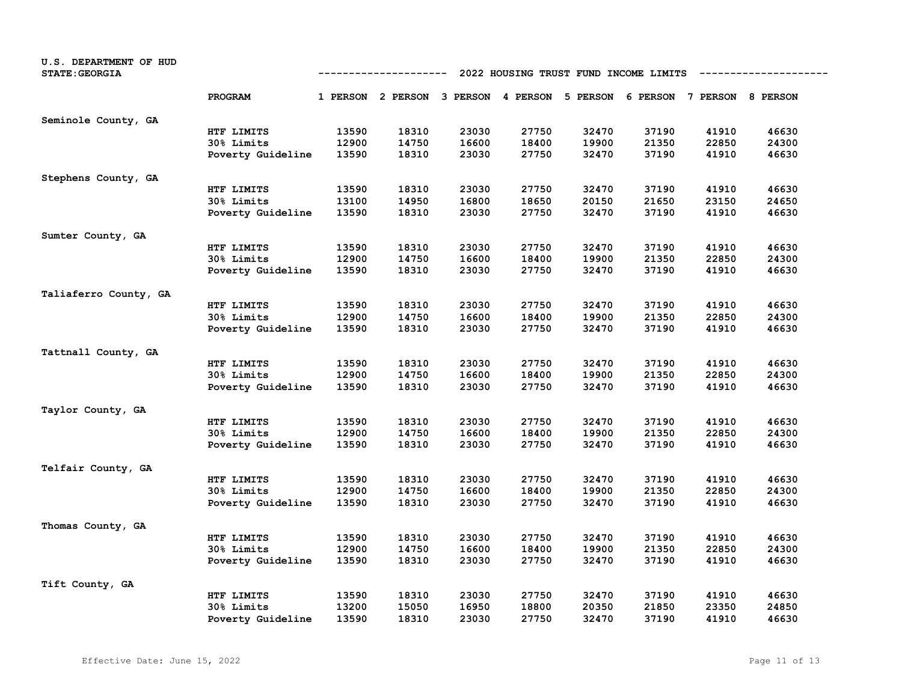| U.S. DEPARTMENT OF HUD<br><b>STATE: GEORGIA</b> |                   | 2022 HOUSING TRUST FUND INCOME LIMITS<br>---------- |                                                                         |       |       |       |       |       |       |
|-------------------------------------------------|-------------------|-----------------------------------------------------|-------------------------------------------------------------------------|-------|-------|-------|-------|-------|-------|
|                                                 | PROGRAM           |                                                     | 1 PERSON 2 PERSON 3 PERSON 4 PERSON 5 PERSON 6 PERSON 7 PERSON 8 PERSON |       |       |       |       |       |       |
| Seminole County, GA                             |                   |                                                     |                                                                         |       |       |       |       |       |       |
|                                                 | HTF LIMITS        | 13590                                               | 18310                                                                   | 23030 | 27750 | 32470 | 37190 | 41910 | 46630 |
|                                                 | 30% Limits        | 12900                                               | 14750                                                                   | 16600 | 18400 | 19900 | 21350 | 22850 | 24300 |
|                                                 | Poverty Guideline | 13590                                               | 18310                                                                   | 23030 | 27750 | 32470 | 37190 | 41910 | 46630 |
| Stephens County, GA                             |                   |                                                     |                                                                         |       |       |       |       |       |       |
|                                                 | HTF LIMITS        | 13590                                               | 18310                                                                   | 23030 | 27750 | 32470 | 37190 | 41910 | 46630 |
|                                                 | 30% Limits        | 13100                                               | 14950                                                                   | 16800 | 18650 | 20150 | 21650 | 23150 | 24650 |
|                                                 | Poverty Guideline | 13590                                               | 18310                                                                   | 23030 | 27750 | 32470 | 37190 | 41910 | 46630 |
| Sumter County, GA                               |                   |                                                     |                                                                         |       |       |       |       |       |       |
|                                                 | HTF LIMITS        | 13590                                               | 18310                                                                   | 23030 | 27750 | 32470 | 37190 | 41910 | 46630 |
|                                                 | 30% Limits        | 12900                                               | 14750                                                                   | 16600 | 18400 | 19900 | 21350 | 22850 | 24300 |
|                                                 | Poverty Guideline | 13590                                               | 18310                                                                   | 23030 | 27750 | 32470 | 37190 | 41910 | 46630 |
| Taliaferro County, GA                           |                   |                                                     |                                                                         |       |       |       |       |       |       |
|                                                 | HTF LIMITS        | 13590                                               | 18310                                                                   | 23030 | 27750 | 32470 | 37190 | 41910 | 46630 |
|                                                 | 30% Limits        | 12900                                               | 14750                                                                   | 16600 | 18400 | 19900 | 21350 | 22850 | 24300 |
|                                                 | Poverty Guideline | 13590                                               | 18310                                                                   | 23030 | 27750 | 32470 | 37190 | 41910 | 46630 |
| Tattnall County, GA                             |                   |                                                     |                                                                         |       |       |       |       |       |       |
|                                                 | HTF LIMITS        | 13590                                               | 18310                                                                   | 23030 | 27750 | 32470 | 37190 | 41910 | 46630 |
|                                                 | 30% Limits        | 12900                                               | 14750                                                                   | 16600 | 18400 | 19900 | 21350 | 22850 | 24300 |
|                                                 | Poverty Guideline | 13590                                               | 18310                                                                   | 23030 | 27750 | 32470 | 37190 | 41910 | 46630 |
| Taylor County, GA                               |                   |                                                     |                                                                         |       |       |       |       |       |       |
|                                                 | HTF LIMITS        | 13590                                               | 18310                                                                   | 23030 | 27750 | 32470 | 37190 | 41910 | 46630 |
|                                                 | 30% Limits        | 12900                                               | 14750                                                                   | 16600 | 18400 | 19900 | 21350 | 22850 | 24300 |
|                                                 | Poverty Guideline | 13590                                               | 18310                                                                   | 23030 | 27750 | 32470 | 37190 | 41910 | 46630 |
| Telfair County, GA                              |                   |                                                     |                                                                         |       |       |       |       |       |       |
|                                                 | HTF LIMITS        | 13590                                               | 18310                                                                   | 23030 | 27750 | 32470 | 37190 | 41910 | 46630 |
|                                                 | 30% Limits        | 12900                                               | 14750                                                                   | 16600 | 18400 | 19900 | 21350 | 22850 | 24300 |
|                                                 | Poverty Guideline | 13590                                               | 18310                                                                   | 23030 | 27750 | 32470 | 37190 | 41910 | 46630 |
| Thomas County, GA                               |                   |                                                     |                                                                         |       |       |       |       |       |       |
|                                                 | HTF LIMITS        | 13590                                               | 18310                                                                   | 23030 | 27750 | 32470 | 37190 | 41910 | 46630 |
|                                                 | 30% Limits        | 12900                                               | 14750                                                                   | 16600 | 18400 | 19900 | 21350 | 22850 | 24300 |
|                                                 | Poverty Guideline | 13590                                               | 18310                                                                   | 23030 | 27750 | 32470 | 37190 | 41910 | 46630 |
| Tift County, GA                                 |                   |                                                     |                                                                         |       |       |       |       |       |       |
|                                                 | HTF LIMITS        | 13590                                               | 18310                                                                   | 23030 | 27750 | 32470 | 37190 | 41910 | 46630 |
|                                                 | 30% Limits        | 13200                                               | 15050                                                                   | 16950 | 18800 | 20350 | 21850 | 23350 | 24850 |
|                                                 | Poverty Guideline | 13590                                               | 18310                                                                   | 23030 | 27750 | 32470 | 37190 | 41910 | 46630 |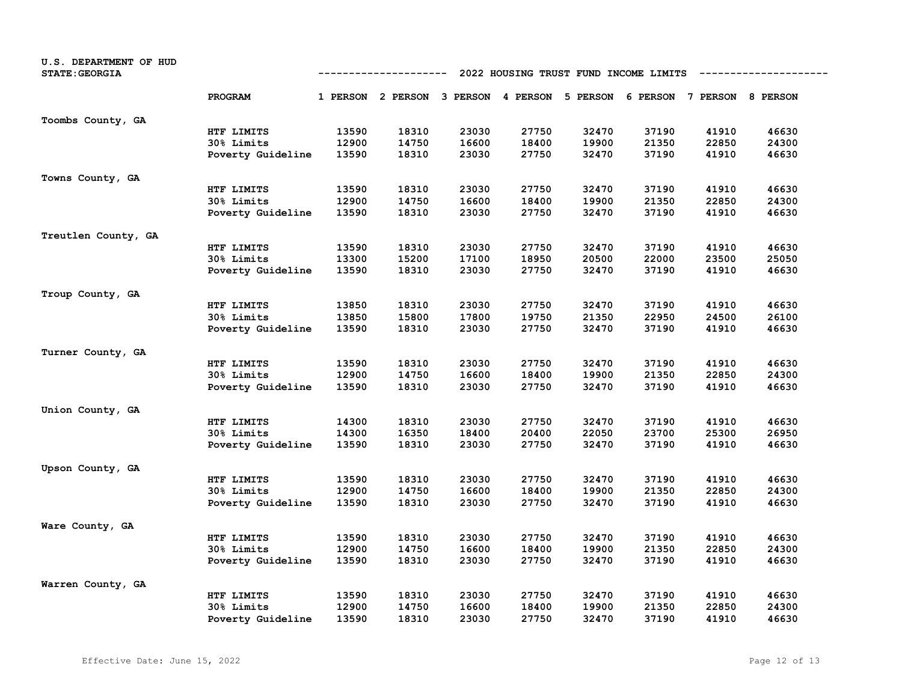| U.S. DEPARTMENT OF HUD<br><b>STATE: GEORGIA</b> | 2022 HOUSING TRUST FUND INCOME LIMITS<br>---------- |       |                                                                         |       |       |       |       |       |       |
|-------------------------------------------------|-----------------------------------------------------|-------|-------------------------------------------------------------------------|-------|-------|-------|-------|-------|-------|
|                                                 | PROGRAM                                             |       | 1 PERSON 2 PERSON 3 PERSON 4 PERSON 5 PERSON 6 PERSON 7 PERSON 8 PERSON |       |       |       |       |       |       |
| Toombs County, GA                               |                                                     |       |                                                                         |       |       |       |       |       |       |
|                                                 | HTF LIMITS                                          | 13590 | 18310                                                                   | 23030 | 27750 | 32470 | 37190 | 41910 | 46630 |
|                                                 | 30% Limits                                          | 12900 | 14750                                                                   | 16600 | 18400 | 19900 | 21350 | 22850 | 24300 |
|                                                 | Poverty Guideline                                   | 13590 | 18310                                                                   | 23030 | 27750 | 32470 | 37190 | 41910 | 46630 |
| Towns County, GA                                |                                                     |       |                                                                         |       |       |       |       |       |       |
|                                                 | HTF LIMITS                                          | 13590 | 18310                                                                   | 23030 | 27750 | 32470 | 37190 | 41910 | 46630 |
|                                                 | 30% Limits                                          | 12900 | 14750                                                                   | 16600 | 18400 | 19900 | 21350 | 22850 | 24300 |
|                                                 | Poverty Guideline                                   | 13590 | 18310                                                                   | 23030 | 27750 | 32470 | 37190 | 41910 | 46630 |
| Treutlen County, GA                             |                                                     |       |                                                                         |       |       |       |       |       |       |
|                                                 | HTF LIMITS                                          | 13590 | 18310                                                                   | 23030 | 27750 | 32470 | 37190 | 41910 | 46630 |
|                                                 | 30% Limits                                          | 13300 | 15200                                                                   | 17100 | 18950 | 20500 | 22000 | 23500 | 25050 |
|                                                 | Poverty Guideline                                   | 13590 | 18310                                                                   | 23030 | 27750 | 32470 | 37190 | 41910 | 46630 |
| Troup County, GA                                |                                                     |       |                                                                         |       |       |       |       |       |       |
|                                                 | HTF LIMITS                                          | 13850 | 18310                                                                   | 23030 | 27750 | 32470 | 37190 | 41910 | 46630 |
|                                                 | 30% Limits                                          | 13850 | 15800                                                                   | 17800 | 19750 | 21350 | 22950 | 24500 | 26100 |
|                                                 | Poverty Guideline                                   | 13590 | 18310                                                                   | 23030 | 27750 | 32470 | 37190 | 41910 | 46630 |
| Turner County, GA                               |                                                     |       |                                                                         |       |       |       |       |       |       |
|                                                 | HTF LIMITS                                          | 13590 | 18310                                                                   | 23030 | 27750 | 32470 | 37190 | 41910 | 46630 |
|                                                 | 30% Limits                                          | 12900 | 14750                                                                   | 16600 | 18400 | 19900 | 21350 | 22850 | 24300 |
|                                                 | Poverty Guideline                                   | 13590 | 18310                                                                   | 23030 | 27750 | 32470 | 37190 | 41910 | 46630 |
| Union County, GA                                |                                                     |       |                                                                         |       |       |       |       |       |       |
|                                                 | HTF LIMITS                                          | 14300 | 18310                                                                   | 23030 | 27750 | 32470 | 37190 | 41910 | 46630 |
|                                                 | 30% Limits                                          | 14300 | 16350                                                                   | 18400 | 20400 | 22050 | 23700 | 25300 | 26950 |
|                                                 | Poverty Guideline                                   | 13590 | 18310                                                                   | 23030 | 27750 | 32470 | 37190 | 41910 | 46630 |
| Upson County, GA                                |                                                     |       |                                                                         |       |       |       |       |       |       |
|                                                 | HTF LIMITS                                          | 13590 | 18310                                                                   | 23030 | 27750 | 32470 | 37190 | 41910 | 46630 |
|                                                 | 30% Limits                                          | 12900 | 14750                                                                   | 16600 | 18400 | 19900 | 21350 | 22850 | 24300 |
|                                                 | Poverty Guideline                                   | 13590 | 18310                                                                   | 23030 | 27750 | 32470 | 37190 | 41910 | 46630 |
| Ware County, GA                                 |                                                     |       |                                                                         |       |       |       |       |       |       |
|                                                 | HTF LIMITS                                          | 13590 | 18310                                                                   | 23030 | 27750 | 32470 | 37190 | 41910 | 46630 |
|                                                 | 30% Limits                                          | 12900 | 14750                                                                   | 16600 | 18400 | 19900 | 21350 | 22850 | 24300 |
|                                                 | Poverty Guideline                                   | 13590 | 18310                                                                   | 23030 | 27750 | 32470 | 37190 | 41910 | 46630 |
| Warren County, GA                               |                                                     |       |                                                                         |       |       |       |       |       |       |
|                                                 | HTF LIMITS                                          | 13590 | 18310                                                                   | 23030 | 27750 | 32470 | 37190 | 41910 | 46630 |
|                                                 | 30% Limits                                          | 12900 | 14750                                                                   | 16600 | 18400 | 19900 | 21350 | 22850 | 24300 |
|                                                 | Poverty Guideline                                   | 13590 | 18310                                                                   | 23030 | 27750 | 32470 | 37190 | 41910 | 46630 |